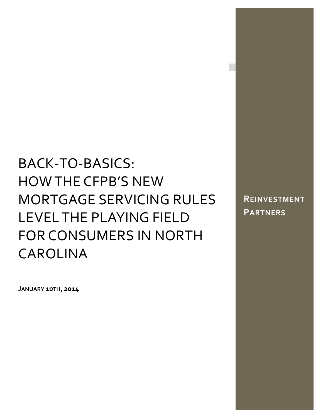# BACK‐TO‐BASICS: HOW THE CFPB'S NEW MORTGAGE SERVICING RULES LEVEL THE PLAYING FIELD FOR CONSUMERS IN NORTH CAROLINA

**REINVESTMENT PARTNERS**

**JANUARY 10TH, 2014**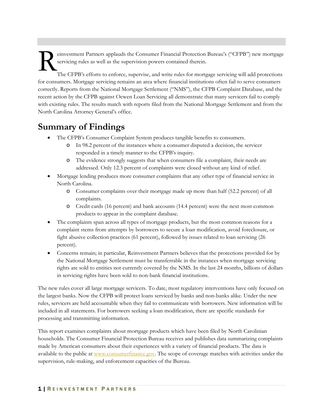einvestment Partners applauds the Consumer Financial Protection Bureau's ("CFPB") new mortgage servicing rules as well as the supervision powers contained therein. R

The CFPB's efforts to enforce, supervise, and write rules for mortgage servicing will add protections for consumers. Mortgage servicing remains an area where financial institutions often fail to serve consumers correctly. Reports from the National Mortgage Settlement ("NMS"), the CFPB Complaint Database, and the recent action by the CFPB against Ocwen Loan Servicing all demonstrate that many servicers fail to comply with existing rules. The results match with reports filed from the National Mortgage Settlement and from the North Carolina Attorney General's office.

### **Summary of Findings**

- The CFPB's Consumer Complaint System produces tangible benefits to consumers.
	- o In 98.2 percent of the instances where a consumer disputed a decision, the servicer responded in a timely manner to the CFPB's inquiry.
	- o The evidence strongly suggests that when consumers file a complaint, their needs are addressed. Only 12.3 percent of complaints were closed without any kind of relief.
- Mortgage lending produces more consumer complaints that any other type of financial service in North Carolina.
	- o Consumer complaints over their mortgage made up more than half (52.2 percent) of all complaints.
	- o Credit cards (16 percent) and bank accounts (14.4 percent) were the next most common products to appear in the complaint database.
- The complaints span across all types of mortgage products, but the most common reasons for a complaint stems from attempts by borrowers to secure a loan modification, avoid foreclosure, or fight abusive collection practices (61 percent), followed by issues related to loan servicing (26 percent).
- Concerns remain; in particular, Reinvestment Partners believes that the protections provided for by the National Mortgage Settlement must be transferrable in the instances when mortgage servicing rights are sold to entities not currently covered by the NMS. In the last 24 months, billions of dollars in servicing rights have been sold to non-bank financial institutions.

The new rules cover all large mortgage servicers. To date, most regulatory interventions have only focused on the largest banks. Now the CFPB will protect loans serviced by banks and non-banks alike. Under the new rules, servicers are held accountable when they fail to communicate with borrowers. New information will be included in all statements. For borrowers seeking a loan modification, there are specific standards for processing and transmitting information.

This report examines complaints about mortgage products which have been filed by North Carolinian households. The Consumer Financial Protection Bureau receives and publishes data summarizing complaints made by American consumers about their experiences with a variety of financial products. The data is available to the public at www.consumerfinance.gov. The scope of coverage matches with activities under the supervision, rule-making, and enforcement capacities of the Bureau.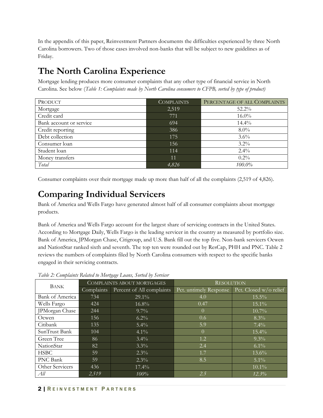In the appendix of this paper, Reinvestment Partners documents the difficulties experienced by three North Carolina borrowers. Two of those cases involved non-banks that will be subject to new guidelines as of Friday.

### **The North Carolina Experience**

Mortgage lending produces more consumer complaints that any other type of financial service in North Carolina. See below (*Table 1: Complaints made by North Carolina consumers to CFPB, sorted by type of product)* 

| PRODUCT                 | <b>COMPLAINTS</b> | PERCENTAGE OF ALL COMPLAINTS |
|-------------------------|-------------------|------------------------------|
| Mortgage                | 2,519             | 52.2%                        |
| Credit card             | 771               | $16.0\%$                     |
| Bank account or service | 694               | $14.4\%$                     |
| Credit reporting        | 386               | $8.0\%$                      |
| Debt collection         | 175               | $3.6\%$                      |
| Consumer loan           | 156               | $3.2\%$                      |
| Student loan            | 114               | $2.4\%$                      |
| Money transfers         | 11                | $0.2\%$                      |
| Total                   | 4,826             | $100.0\%$                    |

Consumer complaints over their mortgage made up more than half of all the complaints (2,519 of 4,826).

### **Comparing Individual Servicers**

Bank of America and Wells Fargo have generated almost half of all consumer complaints about mortgage products.

Bank of America and Wells Fargo account for the largest share of servicing contracts in the United States. According to Mortgage Daily, Wells Fargo is the leading servicer in the country as measured by portfolio size. Bank of America, JPMorgan Chase, Citigroup, and U.S. Bank fill out the top five. Non-bank servicers Ocwen and NationStar ranked sixth and seventh. The top ten were rounded out by ResCap, PHH and PNC. Table 2 reviews the numbers of complaints filed by North Carolina consumers with respect to the specific banks engaged in their servicing contracts.

| <b>BANK</b>     | COMPLAINTS ABOUT MORTGAGES |                           | <b>RESOLUTION</b>      |                        |  |  |
|-----------------|----------------------------|---------------------------|------------------------|------------------------|--|--|
|                 | Complaints                 | Percent of All complaints | Pct. untimely Response | Pct. Closed w/o relief |  |  |
| Bank of America | 734                        | $29.1\%$                  | 4.0                    | $15.5\%$               |  |  |
| Wells Fargo     | 424                        | 16.8%                     | 0.47                   | 15.1%                  |  |  |
| JPMorgan Chase  | 244                        | $9.7\%$                   | $\theta$               | $10.7\%$               |  |  |
| Ocwen           | 156                        | $6.2\%$                   | 0.6                    | $8.3\%$                |  |  |
| Citibank        | 135                        | $5.4\%$                   | 5.9                    | 7.4%                   |  |  |
| SunTrust Bank   | 104                        | $4.1\%$                   | $\Omega$               | 15.4%                  |  |  |
| Green Tree      | 86                         | $3.4\%$                   | 1.2                    | $9.3\%$                |  |  |
| NationStar      | 82                         | $3.3\%$                   | 2.4                    | 6.1%                   |  |  |
| <b>HSBC</b>     | 59                         | $2.3\%$                   | 1.7                    | $13.6\%$               |  |  |
| PNC Bank        | 59                         | $2.3\%$                   | 8.5                    | $5.1\%$                |  |  |
| Other Servicers | 436                        | 17.4%                     |                        | $10.1\%$               |  |  |
| All             | 2,519                      | 100%                      | 2.5                    | 12.3%                  |  |  |

*Table 2: Complaints Related to Mortgage Loans, Sorted by Servicer*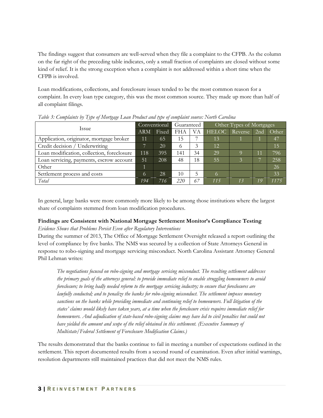The findings suggest that consumers are well-served when they file a complaint to the CFPB. As the column on the far right of the preceding table indicates, only a small fraction of complaints are closed without some kind of relief. It is the strong exception when a complaint is not addressed within a short time when the CFPB is involved.

Loan modifications, collections, and foreclosure issues tended to be the most common reason for a complaint. In every loan type category, this was the most common source. They made up more than half of all complaint filings.

| $\sim$<br>Issue                            | Conventional |       | Guaranteed |    | Other Types of Mortgages |         |     |       |
|--------------------------------------------|--------------|-------|------------|----|--------------------------|---------|-----|-------|
|                                            | <b>ARM</b>   | Fixed | FHA        | VА | <b>HELOC</b>             | Reverse | 2nd | Other |
| Application, originator, mortgage broker   | 11           | 65    | 15         |    | 13                       |         |     | 47    |
| Credit decision / Underwriting             |              | 20    | 6          | 3  | 12                       |         |     | 15    |
| Loan modification, collection, foreclosure | 118          | 395   | 141        | 34 | 29                       |         | 11  | 796   |
| Loan servicing, payments, escrow account   | 51           | 208   | 48         | 18 | 55                       | 3       |     | 258   |
| Other                                      |              |       |            |    |                          |         |     | 26    |
| Settlement process and costs               | Ю.           | 28    | 10         | 5  |                          |         |     | 33    |
| Total                                      | 194          | 716   | 220        | 67 | 115                      | 13      | 19  | 1175  |

*Table 3: Complaints by Type of Mortgage Loan Product and type of complaint source: North Carolina* 

In general, large banks were more commonly more likely to be among those institutions where the largest share of complaints stemmed from loan modification procedures.

#### **Findings are Consistent with National Mortgage Settlement Monitor's Compliance Testing**

#### *Evidence Shows that Problems Persist Even after Regulatory Interventions*

During the summer of 2013, The Office of Mortgage Settlement Oversight released a report outlining the level of compliance by five banks. The NMS was secured by a collection of State Attorneys General in response to robo-signing and mortgage servicing misconduct. North Carolina Assistant Attorney General Phil Lehman writes:

*The negotiations focused on robo-signing and mortgage servicing misconduct. The resulting settlement addresses the primary goals of the attorneys general: to provide immediate relief to enable struggling homeowners to avoid foreclosure; to bring badly needed reform to the mortgage servicing industry; to ensure that foreclosures are lawfully conducted; and to penalize the banks for robo-signing misconduct. The settlement imposes monetary sanctions on the banks while providing immediate and continuing relief to homeowners. Full litigation of the states' claims would likely have taken years, at a time when the foreclosure crisis requires immediate relief for homeowners. And adjudication of state-based robo-signing claims may have led to civil penalties but could not have yielded the amount and scope of the relief obtained in this settlement. (Executive Summary of Multistate/Federal Settlement of Foreclosure Modification Claims.)* 

The results demonstrated that the banks continue to fail in meeting a number of expectations outlined in the settlement. This report documented results from a second round of examination. Even after initial warnings, resolution departments still maintained practices that did not meet the NMS rules.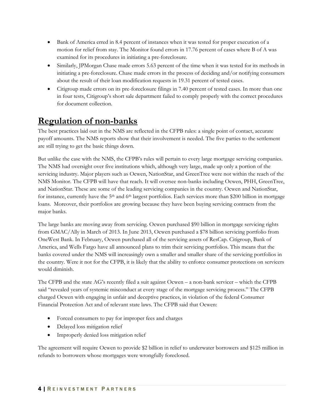- Bank of America erred in 8.4 percent of instances when it was tested for proper execution of a motion for relief from stay. The Monitor found errors in 17.76 percent of cases where B of A was examined for its procedures in initiating a pre-foreclosure.
- Similarly, JPMorgan Chase made errors 5.63 percent of the time when it was tested for its methods in initiating a pre-foreclosure. Chase made errors in the process of deciding and/or notifying consumers about the result of their loan modification requests in 19.31 percent of tested cases.
- Citigroup made errors on its pre-foreclosure filings in 7.40 percent of tested cases. In more than one in four tests, Citigroup's short sale department failed to comply properly with the correct procedures for document collection.

### **Regulation of non-banks**

The best practices laid out in the NMS are reflected in the CFPB rules: a single point of contact, accurate payoff amounts. The NMS reports show that their involvement is needed. The five parties to the settlement are still trying to get the basic things down.

But unlike the case with the NMS, the CFPB's rules will pertain to every large mortgage servicing companies. The NMS had oversight over five institutions which, although very large, made up only a portion of the servicing industry. Major players such as Ocwen, NationStar, and GreenTree were not within the reach of the NMS Monitor. The CFPB will have that reach. It will oversee non-banks including Ocwen, PHH, GreenTree, and NationStar. These are some of the leading servicing companies in the country. Ocwen and NationStar, for instance, currently have the 5<sup>th</sup> and 6<sup>th</sup> largest portfolios. Each services more than \$200 billion in mortgage loans. Moreover, their portfolios are growing because they have been buying servicing contracts from the major banks.

The large banks are moving away from servicing. Ocwen purchased \$90 billion in mortgage servicing rights from GMAC/Ally in March of 2013. In June 2013, Ocwen purchased a \$78 billion servicing portfolio from OneWest Bank. In February, Ocwen purchased all of the servicing assets of ResCap. Citigroup, Bank of America, and Wells Fargo have all announced plans to trim their servicing portfolios. This means that the banks covered under the NMS will increasingly own a smaller and smaller share of the servicing portfolios in the country. Were it not for the CFPB, it is likely that the ability to enforce consumer protections on servicers would diminish.

The CFPB and the state AG's recently filed a suit against Ocwen – a non-bank servicer – which the CFPB said "revealed years of systemic misconduct at every stage of the mortgage servicing process." The CFPB charged Ocwen with engaging in unfair and deceptive practices, in violation of the federal Consumer Financial Protection Act and of relevant state laws. The CFPB said that Ocwen:

- Forced consumers to pay for improper fees and charges
- Delayed loss mitigation relief
- Improperly denied loss mitigation relief

The agreement will require Ocwen to provide \$2 billion in relief to underwater borrowers and \$125 million in refunds to borrowers whose mortgages were wrongfully foreclosed.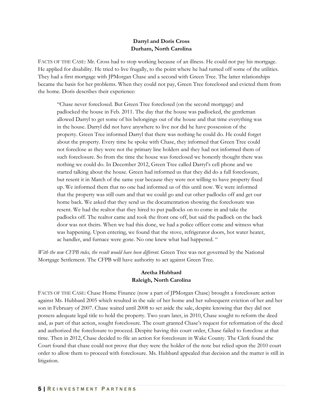#### **Darryl and Doris Cross Durham, North Carolina**

FACTS OF THE CASE: Mr. Cross had to stop working because of an illness. He could not pay his mortgage. He applied for disability. He tried to live frugally, to the point where he had turned off some of the utilities. They had a first mortgage with JPMorgan Chase and a second with Green Tree. The latter relationships became the basis for her problems. When they could not pay, Green Tree foreclosed and evicted them from the home. Doris describes their experience:

"Chase never foreclosed. But Green Tree foreclosed (on the second mortgage) and padlocked the house in Feb. 2011. The day that the house was padlocked, the gentleman allowed Darryl to get some of his belongings out of the house and that time everything was in the house. Darryl did not have anywhere to live nor did he have possession of the property. Green Tree informed Darryl that there was nothing he could do. He could forget about the property. Every time he spoke with Chase, they informed that Green Tree could not foreclose as they were not the primary line holders and they had not informed them of such foreclosure. So from the time the house was foreclosed we honestly thought there was nothing we could do. In December 2012, Green Tree called Darryl's cell phone and we started talking about the house. Green had informed us that they did do a full foreclosure, but resent it in March of the same year because they were not willing to have property fixed up. We informed them that no one had informed us of this until now. We were informed that the property was still ours and that we could go and cut other padlocks off and get our home back. We asked that they send us the documentation showing the foreclosure was resent. We had the realtor that they hired to put padlocks on to come in and take the padlocks off. The realtor came and took the front one off, but said the padlock on the back door was not theirs. When we had this done, we had a police officer come and witness what was happening. Upon entering, we found that the stove, refrigerator doors, hot water heater, ac handler, and furnace were gone. No one knew what had happened. "

*With the new CFPB rules, the result would have been different.* Green Tree was not governed by the National Mortgage Settlement. The CFPB will have authority to act against Green Tree.

#### **Aretha Hubbard Raleigh, North Carolina**

FACTS OF THE CASE: Chase Home Finance (now a part of JPMorgan Chase) brought a foreclosure action against Ms. Hubbard 2005 which resulted in the sale of her home and her subsequent eviction of her and her son in February of 2007. Chase waited until 2008 to set aside the sale, despite knowing that they did not possess adequate legal title to hold the property. Two years later, in 2010, Chase sought to reform the deed and, as part of that action, sought foreclosure. The court granted Chase's request for reformation of the deed and authorized the foreclosure to proceed. Despite having this court order, Chase failed to foreclose at that time. Then in 2012, Chase decided to file an action for foreclosure in Wake County. The Clerk found the Court found that chase could not prove that they were the holder of the note but relied upon the 2010 court order to allow them to proceed with foreclosure. Ms. Hubbard appealed that decision and the matter is still in litigation.